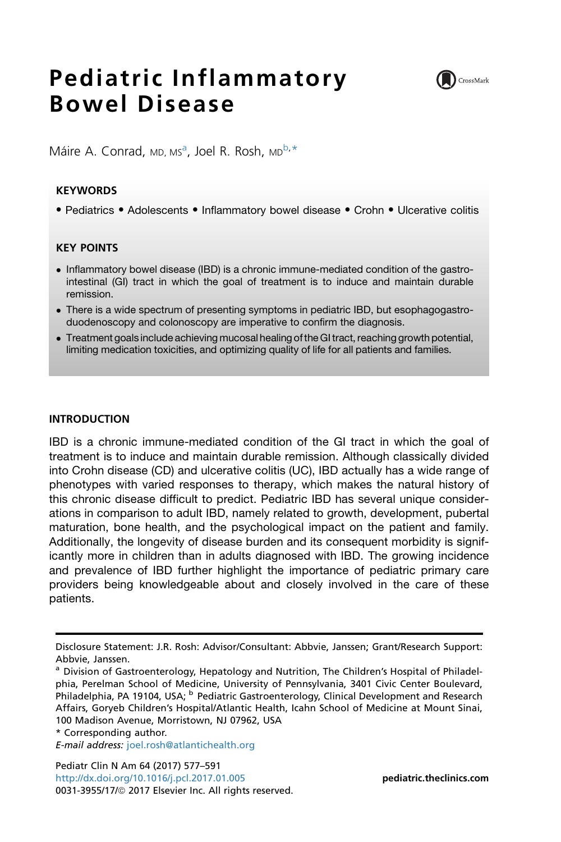# Pediatric Inflammatory Bowel Disease



Máire A. Conrad, MD, Ms<sup>a</sup>, Joel R. Rosh, MD<sup>b,\*</sup>

# **KEYWORDS**

• Pediatrics • Adolescents • Inflammatory bowel disease • Crohn • Ulcerative colitis

# KEY POINTS

- Inflammatory bowel disease (IBD) is a chronic immune-mediated condition of the gastrointestinal (GI) tract in which the goal of treatment is to induce and maintain durable remission.
- There is a wide spectrum of presenting symptoms in pediatric IBD, but esophagogastroduodenoscopy and colonoscopy are imperative to confirm the diagnosis.
- Treatment goals include achieving mucosal healing of the GI tract, reaching growth potential, limiting medication toxicities, and optimizing quality of life for all patients and families.

## INTRODUCTION

IBD is a chronic immune-mediated condition of the GI tract in which the goal of treatment is to induce and maintain durable remission. Although classically divided into Crohn disease (CD) and ulcerative colitis (UC), IBD actually has a wide range of phenotypes with varied responses to therapy, which makes the natural history of this chronic disease difficult to predict. Pediatric IBD has several unique considerations in comparison to adult IBD, namely related to growth, development, pubertal maturation, bone health, and the psychological impact on the patient and family. Additionally, the longevity of disease burden and its consequent morbidity is significantly more in children than in adults diagnosed with IBD. The growing incidence and prevalence of IBD further highlight the importance of pediatric primary care providers being knowledgeable about and closely involved in the care of these patients.

\* Corresponding author.

E-mail address: [joel.rosh@atlantichealth.org](mailto:joel.rosh@atlantichealth.org)

Pediatr Clin N Am 64 (2017) 577–591 <http://dx.doi.org/10.1016/j.pcl.2017.01.005> **blue [pediatric.theclinics.com](http://pediatric.theclinics.com)** 0031-3955/17/@ 2017 Elsevier Inc. All rights reserved.

Disclosure Statement: J.R. Rosh: Advisor/Consultant: Abbvie, Janssen; Grant/Research Support: Abbvie, Janssen.

<sup>&</sup>lt;sup>a</sup> Division of Gastroenterology, Hepatology and Nutrition, The Children's Hospital of Philadelphia, Perelman School of Medicine, University of Pennsylvania, 3401 Civic Center Boulevard, Philadelphia, PA 19104, USA; <sup>b</sup> Pediatric Gastroenterology, Clinical Development and Research Affairs, Goryeb Children's Hospital/Atlantic Health, Icahn School of Medicine at Mount Sinai, 100 Madison Avenue, Morristown, NJ 07962, USA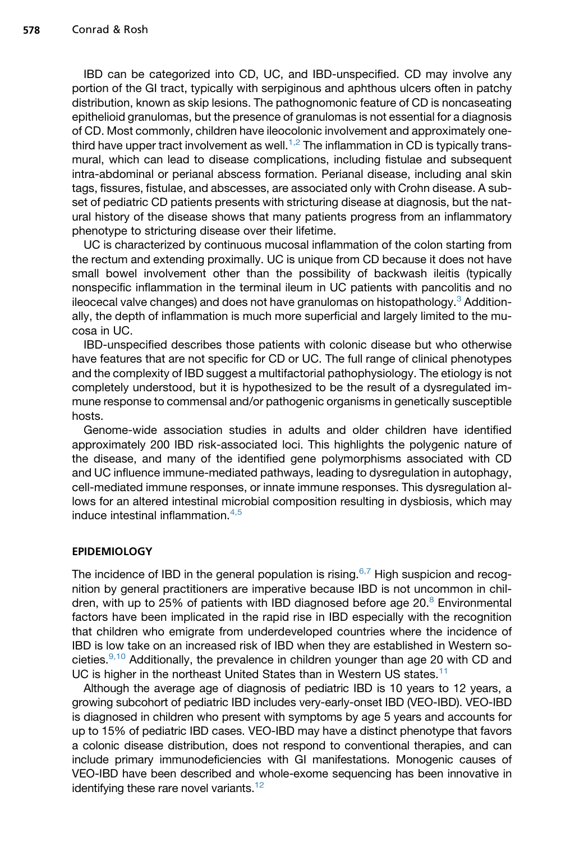IBD can be categorized into CD, UC, and IBD-unspecified. CD may involve any portion of the GI tract, typically with serpiginous and aphthous ulcers often in patchy distribution, known as skip lesions. The pathognomonic feature of CD is noncaseating epithelioid granulomas, but the presence of granulomas is not essential for a diagnosis of CD. Most commonly, children have ileocolonic involvement and approximately onethird have upper tract involvement as well.<sup>1,2</sup> The inflammation in CD is typically transmural, which can lead to disease complications, including fistulae and subsequent intra-abdominal or perianal abscess formation. Perianal disease, including anal skin tags, fissures, fistulae, and abscesses, are associated only with Crohn disease. A subset of pediatric CD patients presents with stricturing disease at diagnosis, but the natural history of the disease shows that many patients progress from an inflammatory phenotype to stricturing disease over their lifetime.

UC is characterized by continuous mucosal inflammation of the colon starting from the rectum and extending proximally. UC is unique from CD because it does not have small bowel involvement other than the possibility of backwash ileitis (typically nonspecific inflammation in the terminal ileum in UC patients with pancolitis and no ileocecal valve changes) and does not have granulomas on histopathology.<sup>[3](#page-10-0)</sup> Additionally, the depth of inflammation is much more superficial and largely limited to the mucosa in UC.

IBD-unspecified describes those patients with colonic disease but who otherwise have features that are not specific for CD or UC. The full range of clinical phenotypes and the complexity of IBD suggest a multifactorial pathophysiology. The etiology is not completely understood, but it is hypothesized to be the result of a dysregulated immune response to commensal and/or pathogenic organisms in genetically susceptible hosts.

Genome-wide association studies in adults and older children have identified approximately 200 IBD risk-associated loci. This highlights the polygenic nature of the disease, and many of the identified gene polymorphisms associated with CD and UC influence immune-mediated pathways, leading to dysregulation in autophagy, cell-mediated immune responses, or innate immune responses. This dysregulation allows for an altered intestinal microbial composition resulting in dysbiosis, which may induce intestinal inflammation. $4,5$ 

# EPIDEMIOLOGY

The incidence of IBD in the general population is rising. $6,7$  High suspicion and recognition by general practitioners are imperative because IBD is not uncommon in children, with up to 25% of patients with IBD diagnosed before age 20. $8$  Environmental factors have been implicated in the rapid rise in IBD especially with the recognition that children who emigrate from underdeveloped countries where the incidence of IBD is low take on an increased risk of IBD when they are established in Western so-cieties.<sup>[9,10](#page-10-0)</sup> Additionally, the prevalence in children younger than age 20 with CD and UC is higher in the northeast United States than in Western US states.<sup>[11](#page-11-0)</sup>

Although the average age of diagnosis of pediatric IBD is 10 years to 12 years, a growing subcohort of pediatric IBD includes very-early-onset IBD (VEO-IBD). VEO-IBD is diagnosed in children who present with symptoms by age 5 years and accounts for up to 15% of pediatric IBD cases. VEO-IBD may have a distinct phenotype that favors a colonic disease distribution, does not respond to conventional therapies, and can include primary immunodeficiencies with GI manifestations. Monogenic causes of VEO-IBD have been described and whole-exome sequencing has been innovative in identifying these rare novel variants. $12$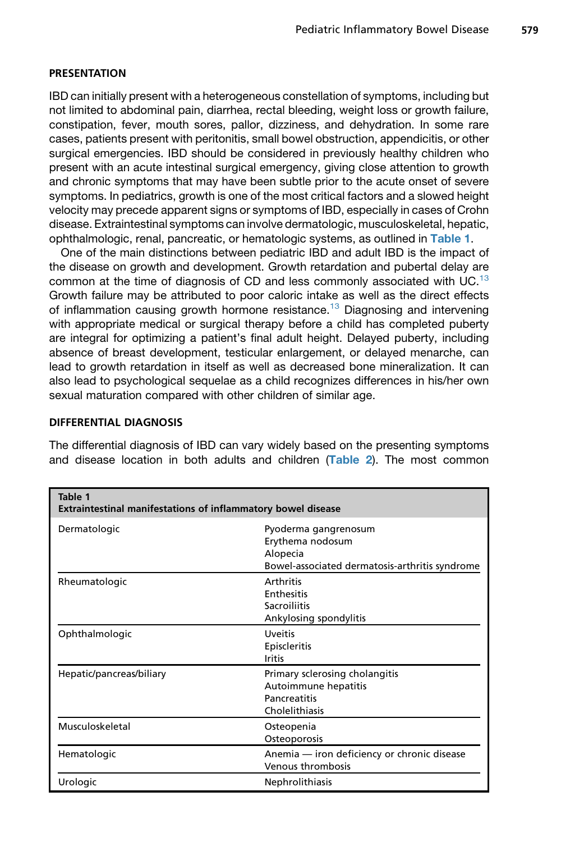### PRESENTATION

IBD can initially present with a heterogeneous constellation of symptoms, including but not limited to abdominal pain, diarrhea, rectal bleeding, weight loss or growth failure, constipation, fever, mouth sores, pallor, dizziness, and dehydration. In some rare cases, patients present with peritonitis, small bowel obstruction, appendicitis, or other surgical emergencies. IBD should be considered in previously healthy children who present with an acute intestinal surgical emergency, giving close attention to growth and chronic symptoms that may have been subtle prior to the acute onset of severe symptoms. In pediatrics, growth is one of the most critical factors and a slowed height velocity may precede apparent signs or symptoms of IBD, especially in cases of Crohn disease. Extraintestinal symptoms can involve dermatologic, musculoskeletal, hepatic, ophthalmologic, renal, pancreatic, or hematologic systems, as outlined in Table 1.

One of the main distinctions between pediatric IBD and adult IBD is the impact of the disease on growth and development. Growth retardation and pubertal delay are common at the time of diagnosis of CD and less commonly associated with  $UC^{13}$  $UC^{13}$  $UC^{13}$ Growth failure may be attributed to poor caloric intake as well as the direct effects of inflammation causing growth hormone resistance.<sup>[13](#page-11-0)</sup> Diagnosing and intervening with appropriate medical or surgical therapy before a child has completed puberty are integral for optimizing a patient's final adult height. Delayed puberty, including absence of breast development, testicular enlargement, or delayed menarche, can lead to growth retardation in itself as well as decreased bone mineralization. It can also lead to psychological sequelae as a child recognizes differences in his/her own sexual maturation compared with other children of similar age.

#### DIFFERENTIAL DIAGNOSIS

The differential diagnosis of IBD can vary widely based on the presenting symptoms and disease location in both adults and children ([Table 2](#page-3-0)). The most common

| Table 1<br>Extraintestinal manifestations of inflammatory bowel disease |                                                                                                        |  |
|-------------------------------------------------------------------------|--------------------------------------------------------------------------------------------------------|--|
| Dermatologic                                                            | Pyoderma gangrenosum<br>Erythema nodosum<br>Alopecia<br>Bowel-associated dermatosis-arthritis syndrome |  |
| Rheumatologic                                                           | <b>Arthritis</b><br><b>Fnthesitis</b><br>Sacroiliitis<br>Ankylosing spondylitis                        |  |
| Ophthalmologic                                                          | Uveitis<br>Episcleritis<br><b>Iritis</b>                                                               |  |
| Hepatic/pancreas/biliary                                                | Primary sclerosing cholangitis<br>Autoimmune hepatitis<br><b>Pancreatitis</b><br>Cholelithiasis        |  |
| Musculoskeletal                                                         | Osteopenia<br>Osteoporosis                                                                             |  |
| Hematologic                                                             | Anemia - iron deficiency or chronic disease<br>Venous thrombosis                                       |  |
| Urologic                                                                | <b>Nephrolithiasis</b>                                                                                 |  |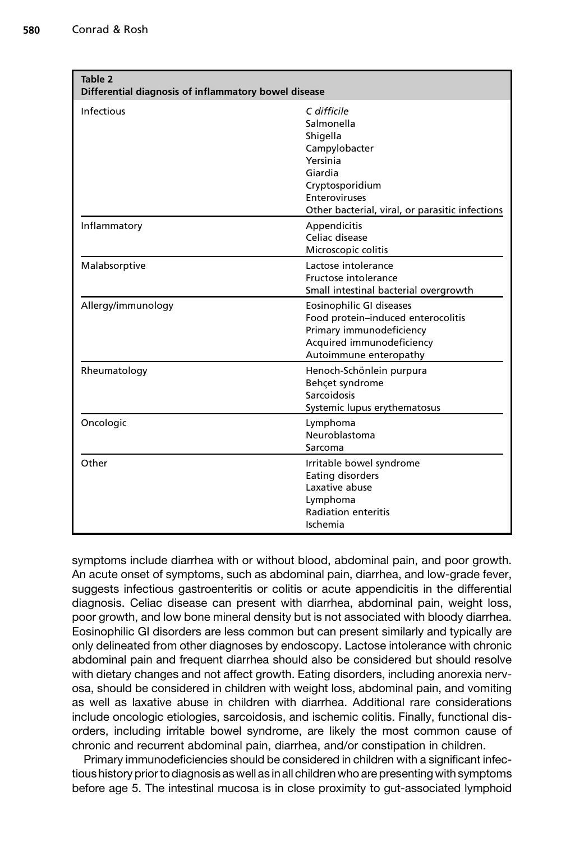<span id="page-3-0"></span>

| Table 2<br>Differential diagnosis of inflammatory bowel disease |                                                                                                                                                                      |  |
|-----------------------------------------------------------------|----------------------------------------------------------------------------------------------------------------------------------------------------------------------|--|
| <b>Infectious</b>                                               | C difficile<br>Salmonella<br>Shigella<br>Campylobacter<br>Yersinia<br>Giardia<br>Cryptosporidium<br>Enteroviruses<br>Other bacterial, viral, or parasitic infections |  |
| Inflammatory                                                    | Appendicitis<br>Celiac disease<br>Microscopic colitis                                                                                                                |  |
| Malabsorptive                                                   | Lactose intolerance<br>Fructose intolerance<br>Small intestinal bacterial overgrowth                                                                                 |  |
| Allergy/immunology                                              | Eosinophilic GI diseases<br>Food protein-induced enterocolitis<br>Primary immunodeficiency<br>Acquired immunodeficiency<br>Autoimmune enteropathy                    |  |
| Rheumatology                                                    | Henoch-Schönlein purpura<br>Behçet syndrome<br>Sarcoidosis<br>Systemic lupus erythematosus                                                                           |  |
| Oncologic                                                       | Lymphoma<br>Neuroblastoma<br>Sarcoma                                                                                                                                 |  |
| Other                                                           | Irritable bowel syndrome<br>Eating disorders<br>Laxative abuse<br>Lymphoma<br><b>Radiation enteritis</b><br>Ischemia                                                 |  |

symptoms include diarrhea with or without blood, abdominal pain, and poor growth. An acute onset of symptoms, such as abdominal pain, diarrhea, and low-grade fever, suggests infectious gastroenteritis or colitis or acute appendicitis in the differential diagnosis. Celiac disease can present with diarrhea, abdominal pain, weight loss, poor growth, and low bone mineral density but is not associated with bloody diarrhea. Eosinophilic GI disorders are less common but can present similarly and typically are only delineated from other diagnoses by endoscopy. Lactose intolerance with chronic abdominal pain and frequent diarrhea should also be considered but should resolve with dietary changes and not affect growth. Eating disorders, including anorexia nervosa, should be considered in children with weight loss, abdominal pain, and vomiting as well as laxative abuse in children with diarrhea. Additional rare considerations include oncologic etiologies, sarcoidosis, and ischemic colitis. Finally, functional disorders, including irritable bowel syndrome, are likely the most common cause of chronic and recurrent abdominal pain, diarrhea, and/or constipation in children.

Primary immunodeficiencies should be considered in children with a significant infectious history prior to diagnosis as well as in all children who are presenting with symptoms before age 5. The intestinal mucosa is in close proximity to gut-associated lymphoid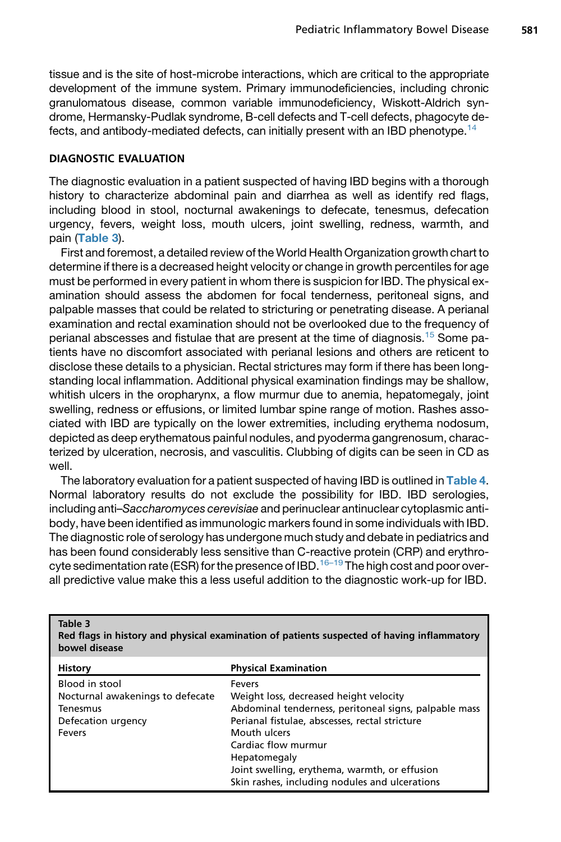tissue and is the site of host-microbe interactions, which are critical to the appropriate development of the immune system. Primary immunodeficiencies, including chronic granulomatous disease, common variable immunodeficiency, Wiskott-Aldrich syndrome, Hermansky-Pudlak syndrome, B-cell defects and T-cell defects, phagocyte de-fects, and antibody-mediated defects, can initially present with an IBD phenotype.<sup>[14](#page-11-0)</sup>

## DIAGNOSTIC EVALUATION

Table 3

The diagnostic evaluation in a patient suspected of having IBD begins with a thorough history to characterize abdominal pain and diarrhea as well as identify red flags, including blood in stool, nocturnal awakenings to defecate, tenesmus, defecation urgency, fevers, weight loss, mouth ulcers, joint swelling, redness, warmth, and pain (Table 3).

First and foremost, a detailed review of the World Health Organization growth chart to determine if there is a decreased height velocity or change in growth percentiles for age must be performed in every patient in whom there is suspicion for IBD. The physical examination should assess the abdomen for focal tenderness, peritoneal signs, and palpable masses that could be related to stricturing or penetrating disease. A perianal examination and rectal examination should not be overlooked due to the frequency of perianal abscesses and fistulae that are present at the time of diagnosis.[15](#page-11-0) Some patients have no discomfort associated with perianal lesions and others are reticent to disclose these details to a physician. Rectal strictures may form if there has been longstanding local inflammation. Additional physical examination findings may be shallow, whitish ulcers in the oropharynx, a flow murmur due to anemia, hepatomegaly, joint swelling, redness or effusions, or limited lumbar spine range of motion. Rashes associated with IBD are typically on the lower extremities, including erythema nodosum, depicted as deep erythematous painful nodules, and pyoderma gangrenosum, characterized by ulceration, necrosis, and vasculitis. Clubbing of digits can be seen in CD as well.

The laboratory evaluation for a patient suspected of having IBD is outlined in [Table 4](#page-5-0). Normal laboratory results do not exclude the possibility for IBD. IBD serologies, including anti–*Saccharomyces cerevisiae* and perinuclear antinuclear cytoplasmic antibody, have been identified as immunologic markers found in some individuals with IBD. The diagnostic role of serology has undergone much study and debate in pediatrics and has been found considerably less sensitive than C-reactive protein (CRP) and erythrocyte sedimentation rate (ESR) for the presence of IBD.  $16-19$  The high cost and poor overall predictive value make this a less useful addition to the diagnostic work-up for IBD.

| Red flags in history and physical examination of patients suspected of having inflammatory<br>bowel disease |                             |
|-------------------------------------------------------------------------------------------------------------|-----------------------------|
| History                                                                                                     | <b>Physical Examination</b> |

| . <b>.</b>                       | ,,,,,,,,,,,,,,,,,,,,,,,,,,,,,                         |
|----------------------------------|-------------------------------------------------------|
| Blood in stool                   | Fevers                                                |
| Nocturnal awakenings to defecate | Weight loss, decreased height velocity                |
| <b>Tenesmus</b>                  | Abdominal tenderness, peritoneal signs, palpable mass |
| Defecation urgency               | Perianal fistulae, abscesses, rectal stricture        |
| Fevers                           | Mouth ulcers                                          |
|                                  | Cardiac flow murmur                                   |
|                                  | Hepatomegaly                                          |
|                                  | Joint swelling, erythema, warmth, or effusion         |
|                                  | Skin rashes, including nodules and ulcerations        |
|                                  |                                                       |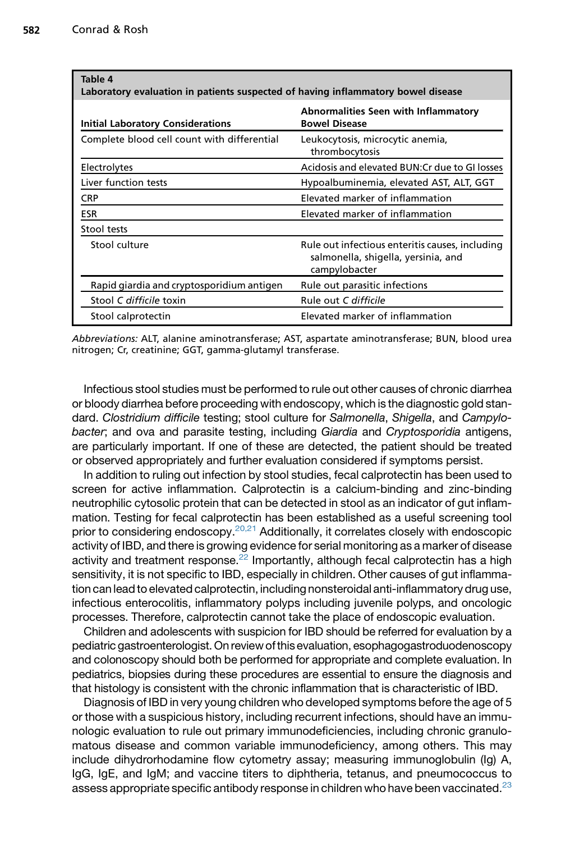<span id="page-5-0"></span>

| Table 4<br>Laboratory evaluation in patients suspected of having inflammatory bowel disease |                                                                                                         |  |
|---------------------------------------------------------------------------------------------|---------------------------------------------------------------------------------------------------------|--|
| <b>Initial Laboratory Considerations</b>                                                    | Abnormalities Seen with Inflammatory<br><b>Bowel Disease</b>                                            |  |
| Complete blood cell count with differential                                                 | Leukocytosis, microcytic anemia,<br>thrombocytosis                                                      |  |
| Electrolytes                                                                                | Acidosis and elevated BUN: Cr due to GI losses                                                          |  |
| Liver function tests                                                                        | Hypoalbuminemia, elevated AST, ALT, GGT                                                                 |  |
| <b>CRP</b>                                                                                  | Elevated marker of inflammation                                                                         |  |
| <b>ESR</b>                                                                                  | Elevated marker of inflammation                                                                         |  |
| Stool tests                                                                                 |                                                                                                         |  |
| Stool culture                                                                               | Rule out infectious enteritis causes, including<br>salmonella, shigella, yersinia, and<br>campylobacter |  |
| Rapid giardia and cryptosporidium antigen                                                   | Rule out parasitic infections                                                                           |  |
| Stool C difficile toxin                                                                     | Rule out C difficile                                                                                    |  |
| Stool calprotectin                                                                          | Elevated marker of inflammation                                                                         |  |

Abbreviations: ALT, alanine aminotransferase; AST, aspartate aminotransferase; BUN, blood urea nitrogen; Cr, creatinine; GGT, gamma-glutamyl transferase.

Infectious stool studies must be performed to rule out other causes of chronic diarrhea or bloody diarrhea before proceeding with endoscopy, which is the diagnostic gold standard. *Clostridium difficile* testing; stool culture for *Salmonella*, *Shigella*, and *Campylobacter*; and ova and parasite testing, including *Giardia* and *Cryptosporidia* antigens, are particularly important. If one of these are detected, the patient should be treated or observed appropriately and further evaluation considered if symptoms persist.

In addition to ruling out infection by stool studies, fecal calprotectin has been used to screen for active inflammation. Calprotectin is a calcium-binding and zinc-binding neutrophilic cytosolic protein that can be detected in stool as an indicator of gut inflammation. Testing for fecal calprotectin has been established as a useful screening tool prior to considering endoscopy.<sup>20,21</sup> Additionally, it correlates closely with endoscopic activity of IBD, and there is growing evidence for serial monitoring as a marker of disease activity and treatment response. $22$  Importantly, although fecal calprotectin has a high sensitivity, it is not specific to IBD, especially in children. Other causes of gut inflammation can lead to elevated calprotectin, including nonsteroidal anti-inflammatory drug use, infectious enterocolitis, inflammatory polyps including juvenile polyps, and oncologic processes. Therefore, calprotectin cannot take the place of endoscopic evaluation.

Children and adolescents with suspicion for IBD should be referred for evaluation by a pediatric gastroenterologist. On review of this evaluation, esophagogastroduodenoscopy and colonoscopy should both be performed for appropriate and complete evaluation. In pediatrics, biopsies during these procedures are essential to ensure the diagnosis and that histology is consistent with the chronic inflammation that is characteristic of IBD.

Diagnosis of IBD in very young children who developed symptoms before the age of 5 or those with a suspicious history, including recurrent infections, should have an immunologic evaluation to rule out primary immunodeficiencies, including chronic granulomatous disease and common variable immunodeficiency, among others. This may include dihydrorhodamine flow cytometry assay; measuring immunoglobulin (Ig) A, IgG, IgE, and IgM; and vaccine titers to diphtheria, tetanus, and pneumococcus to assess appropriate specific antibody response in children who have been vaccinated.<sup>[23](#page-11-0)</sup>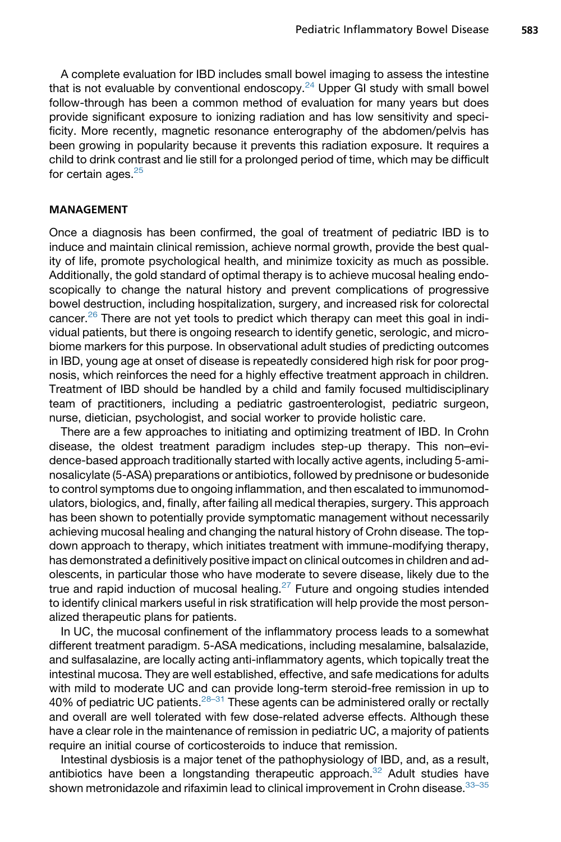A complete evaluation for IBD includes small bowel imaging to assess the intestine that is not evaluable by conventional endoscopy. $24$  Upper GI study with small bowel follow-through has been a common method of evaluation for many years but does provide significant exposure to ionizing radiation and has low sensitivity and specificity. More recently, magnetic resonance enterography of the abdomen/pelvis has been growing in popularity because it prevents this radiation exposure. It requires a child to drink contrast and lie still for a prolonged period of time, which may be difficult for certain ages.<sup>25</sup>

## MANAGEMENT

Once a diagnosis has been confirmed, the goal of treatment of pediatric IBD is to induce and maintain clinical remission, achieve normal growth, provide the best quality of life, promote psychological health, and minimize toxicity as much as possible. Additionally, the gold standard of optimal therapy is to achieve mucosal healing endoscopically to change the natural history and prevent complications of progressive bowel destruction, including hospitalization, surgery, and increased risk for colorectal cancer.<sup>[26](#page-11-0)</sup> There are not yet tools to predict which therapy can meet this goal in individual patients, but there is ongoing research to identify genetic, serologic, and microbiome markers for this purpose. In observational adult studies of predicting outcomes in IBD, young age at onset of disease is repeatedly considered high risk for poor prognosis, which reinforces the need for a highly effective treatment approach in children. Treatment of IBD should be handled by a child and family focused multidisciplinary team of practitioners, including a pediatric gastroenterologist, pediatric surgeon, nurse, dietician, psychologist, and social worker to provide holistic care.

There are a few approaches to initiating and optimizing treatment of IBD. In Crohn disease, the oldest treatment paradigm includes step-up therapy. This non–evidence-based approach traditionally started with locally active agents, including 5-aminosalicylate (5-ASA) preparations or antibiotics, followed by prednisone or budesonide to control symptoms due to ongoing inflammation, and then escalated to immunomodulators, biologics, and, finally, after failing all medical therapies, surgery. This approach has been shown to potentially provide symptomatic management without necessarily achieving mucosal healing and changing the natural history of Crohn disease. The topdown approach to therapy, which initiates treatment with immune-modifying therapy, has demonstrated a definitively positive impact on clinical outcomes in children and adolescents, in particular those who have moderate to severe disease, likely due to the true and rapid induction of mucosal healing. $27$  Future and ongoing studies intended to identify clinical markers useful in risk stratification will help provide the most personalized therapeutic plans for patients.

In UC, the mucosal confinement of the inflammatory process leads to a somewhat different treatment paradigm. 5-ASA medications, including mesalamine, balsalazide, and sulfasalazine, are locally acting anti-inflammatory agents, which topically treat the intestinal mucosa. They are well established, effective, and safe medications for adults with mild to moderate UC and can provide long-term steroid-free remission in up to 40% of pediatric UC patients.[28–31](#page-11-0) These agents can be administered orally or rectally and overall are well tolerated with few dose-related adverse effects. Although these have a clear role in the maintenance of remission in pediatric UC, a majority of patients require an initial course of corticosteroids to induce that remission.

Intestinal dysbiosis is a major tenet of the pathophysiology of IBD, and, as a result, antibiotics have been a longstanding therapeutic approach.<sup>[32](#page-12-0)</sup> Adult studies have shown metronidazole and rifaximin lead to clinical improvement in Crohn disease.  $33-35$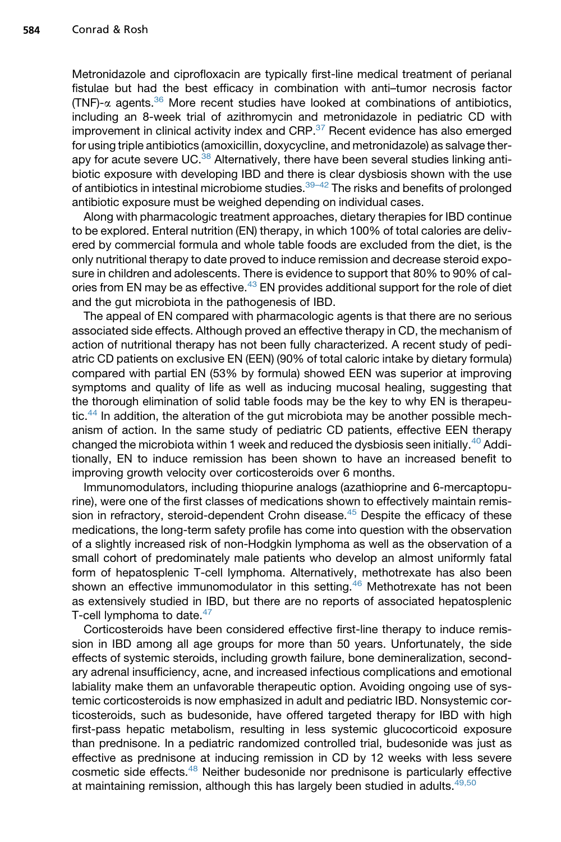Metronidazole and ciprofloxacin are typically first-line medical treatment of perianal fistulae but had the best efficacy in combination with anti–tumor necrosis factor (TNF)- $\alpha$  agents.<sup>[36](#page-12-0)</sup> More recent studies have looked at combinations of antibiotics, including an 8-week trial of azithromycin and metronidazole in pediatric CD with improvement in clinical activity index and  $CRP<sup>37</sup>$  Recent evidence has also emerged for using triple antibiotics (amoxicillin, doxycycline, and metronidazole) as salvage therapy for acute severe UC.<sup>38</sup> Alternatively, there have been several studies linking antibiotic exposure with developing IBD and there is clear dysbiosis shown with the use of antibiotics in intestinal microbiome studies. $39-42$  The risks and benefits of prolonged antibiotic exposure must be weighed depending on individual cases.

Along with pharmacologic treatment approaches, dietary therapies for IBD continue to be explored. Enteral nutrition (EN) therapy, in which 100% of total calories are delivered by commercial formula and whole table foods are excluded from the diet, is the only nutritional therapy to date proved to induce remission and decrease steroid exposure in children and adolescents. There is evidence to support that 80% to 90% of calories from EN may be as effective. $43$  EN provides additional support for the role of diet and the gut microbiota in the pathogenesis of IBD.

The appeal of EN compared with pharmacologic agents is that there are no serious associated side effects. Although proved an effective therapy in CD, the mechanism of action of nutritional therapy has not been fully characterized. A recent study of pediatric CD patients on exclusive EN (EEN) (90% of total caloric intake by dietary formula) compared with partial EN (53% by formula) showed EEN was superior at improving symptoms and quality of life as well as inducing mucosal healing, suggesting that the thorough elimination of solid table foods may be the key to why EN is therapeu-tic.<sup>[44](#page-12-0)</sup> In addition, the alteration of the gut microbiota may be another possible mechanism of action. In the same study of pediatric CD patients, effective EEN therapy changed the microbiota within 1 week and reduced the dysbiosis seen initially.<sup>[40](#page-12-0)</sup> Additionally, EN to induce remission has been shown to have an increased benefit to improving growth velocity over corticosteroids over 6 months.

Immunomodulators, including thiopurine analogs (azathioprine and 6-mercaptopurine), were one of the first classes of medications shown to effectively maintain remis-sion in refractory, steroid-dependent Crohn disease.<sup>[45](#page-12-0)</sup> Despite the efficacy of these medications, the long-term safety profile has come into question with the observation of a slightly increased risk of non-Hodgkin lymphoma as well as the observation of a small cohort of predominately male patients who develop an almost uniformly fatal form of hepatosplenic T-cell lymphoma. Alternatively, methotrexate has also been shown an effective immunomodulator in this setting.<sup>[46](#page-12-0)</sup> Methotrexate has not been as extensively studied in IBD, but there are no reports of associated hepatosplenic T-cell lymphoma to date.<sup>[47](#page-12-0)</sup>

Corticosteroids have been considered effective first-line therapy to induce remission in IBD among all age groups for more than 50 years. Unfortunately, the side effects of systemic steroids, including growth failure, bone demineralization, secondary adrenal insufficiency, acne, and increased infectious complications and emotional labiality make them an unfavorable therapeutic option. Avoiding ongoing use of systemic corticosteroids is now emphasized in adult and pediatric IBD. Nonsystemic corticosteroids, such as budesonide, have offered targeted therapy for IBD with high first-pass hepatic metabolism, resulting in less systemic glucocorticoid exposure than prednisone. In a pediatric randomized controlled trial, budesonide was just as effective as prednisone at inducing remission in CD by 12 weeks with less severe cosmetic side effects.[48](#page-13-0) Neither budesonide nor prednisone is particularly effective at maintaining remission, although this has largely been studied in adults.<sup>[49,50](#page-13-0)</sup>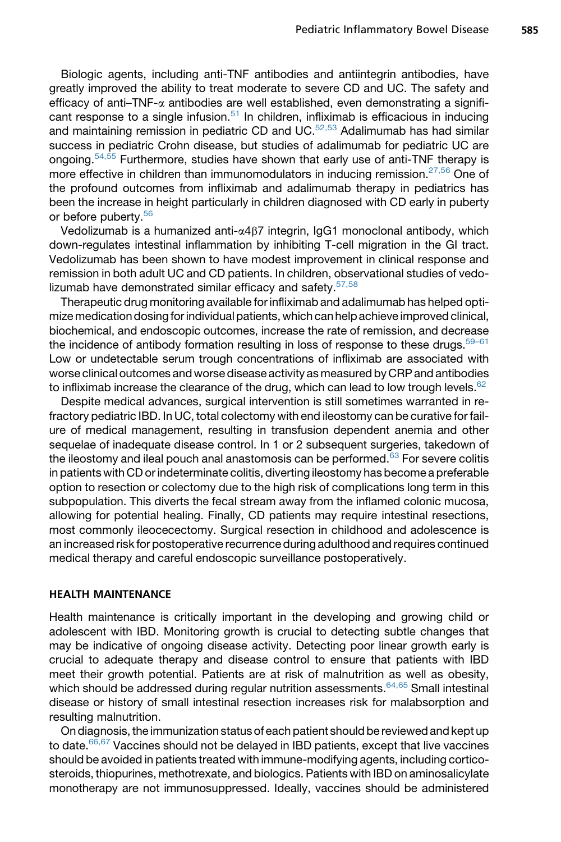Biologic agents, including anti-TNF antibodies and antiintegrin antibodies, have greatly improved the ability to treat moderate to severe CD and UC. The safety and efficacy of anti–TNF- $\alpha$  antibodies are well established, even demonstrating a significant response to a single infusion. $51$  In children, infliximab is efficacious in inducing and maintaining remission in pediatric CD and UC.<sup>[52,53](#page-13-0)</sup> Adalimumab has had similar success in pediatric Crohn disease, but studies of adalimumab for pediatric UC are ongoing.<sup>[54,55](#page-13-0)</sup> Furthermore, studies have shown that early use of anti-TNF therapy is more effective in children than immunomodulators in inducing remission.<sup>[27,56](#page-11-0)</sup> One of the profound outcomes from infliximab and adalimumab therapy in pediatrics has been the increase in height particularly in children diagnosed with CD early in puberty or before puberty.<sup>[56](#page-13-0)</sup>

Vedolizumab is a humanized anti-a4b7 integrin, IgG1 monoclonal antibody, which down-regulates intestinal inflammation by inhibiting T-cell migration in the GI tract. Vedolizumab has been shown to have modest improvement in clinical response and remission in both adult UC and CD patients. In children, observational studies of vedo-lizumab have demonstrated similar efficacy and safety.<sup>[57,58](#page-13-0)</sup>

Therapeutic drug monitoring available for infliximab and adalimumab has helped optimize medication dosingfor individual patients, which can help achieve improved clinical, biochemical, and endoscopic outcomes, increase the rate of remission, and decrease the incidence of antibody formation resulting in loss of response to these drugs.  $59-61$ Low or undetectable serum trough concentrations of infliximab are associated with worse clinical outcomes and worse disease activity as measured by CRP and antibodies to infliximab increase the clearance of the drug, which can lead to low trough levels. $62$ 

Despite medical advances, surgical intervention is still sometimes warranted in refractory pediatric IBD. In UC, total colectomy with end ileostomy can be curative for failure of medical management, resulting in transfusion dependent anemia and other sequelae of inadequate disease control. In 1 or 2 subsequent surgeries, takedown of the ileostomy and ileal pouch anal anastomosis can be performed.<sup>[63](#page-13-0)</sup> For severe colitis in patients with CD or indeterminate colitis, diverting ileostomy has become a preferable option to resection or colectomy due to the high risk of complications long term in this subpopulation. This diverts the fecal stream away from the inflamed colonic mucosa, allowing for potential healing. Finally, CD patients may require intestinal resections, most commonly ileocecectomy. Surgical resection in childhood and adolescence is an increased risk for postoperative recurrence during adulthood and requires continued medical therapy and careful endoscopic surveillance postoperatively.

#### HEALTH MAINTENANCE

Health maintenance is critically important in the developing and growing child or adolescent with IBD. Monitoring growth is crucial to detecting subtle changes that may be indicative of ongoing disease activity. Detecting poor linear growth early is crucial to adequate therapy and disease control to ensure that patients with IBD meet their growth potential. Patients are at risk of malnutrition as well as obesity, which should be addressed during regular nutrition assessments.<sup>[64,65](#page-13-0)</sup> Small intestinal disease or history of small intestinal resection increases risk for malabsorption and resulting malnutrition.

On diagnosis, the immunization status of each patient should be reviewed and kept up to date.<sup>66,67</sup> Vaccines should not be delayed in IBD patients, except that live vaccines should be avoided in patients treated with immune-modifying agents, including corticosteroids, thiopurines, methotrexate, and biologics. Patients with IBD on aminosalicylate monotherapy are not immunosuppressed. Ideally, vaccines should be administered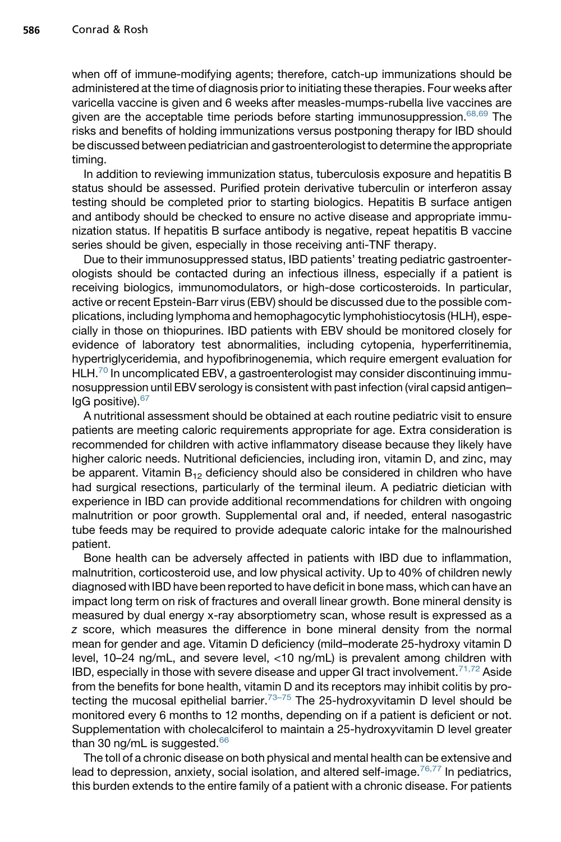when off of immune-modifying agents; therefore, catch-up immunizations should be administered at the time of diagnosis prior to initiating these therapies. Four weeks after varicella vaccine is given and 6 weeks after measles-mumps-rubella live vaccines are given are the acceptable time periods before starting immunosuppression.<sup>68,69</sup> The risks and benefits of holding immunizations versus postponing therapy for IBD should be discussed between pediatrician and gastroenterologist to determine the appropriate timing.

In addition to reviewing immunization status, tuberculosis exposure and hepatitis B status should be assessed. Purified protein derivative tuberculin or interferon assay testing should be completed prior to starting biologics. Hepatitis B surface antigen and antibody should be checked to ensure no active disease and appropriate immunization status. If hepatitis B surface antibody is negative, repeat hepatitis B vaccine series should be given, especially in those receiving anti-TNF therapy.

Due to their immunosuppressed status, IBD patients' treating pediatric gastroenterologists should be contacted during an infectious illness, especially if a patient is receiving biologics, immunomodulators, or high-dose corticosteroids. In particular, active or recent Epstein-Barr virus (EBV) should be discussed due to the possible complications, including lymphoma and hemophagocytic lymphohistiocytosis (HLH), especially in those on thiopurines. IBD patients with EBV should be monitored closely for evidence of laboratory test abnormalities, including cytopenia, hyperferritinemia, hypertriglyceridemia, and hypofibrinogenemia, which require emergent evaluation for HLH.<sup>[70](#page-14-0)</sup> In uncomplicated EBV, a gastroenterologist may consider discontinuing immunosuppression until EBV serology is consistent with past infection (viral capsid antigen– IgG positive).<sup>[67](#page-14-0)</sup>

A nutritional assessment should be obtained at each routine pediatric visit to ensure patients are meeting caloric requirements appropriate for age. Extra consideration is recommended for children with active inflammatory disease because they likely have higher caloric needs. Nutritional deficiencies, including iron, vitamin D, and zinc, may be apparent. Vitamin  $B_{12}$  deficiency should also be considered in children who have had surgical resections, particularly of the terminal ileum. A pediatric dietician with experience in IBD can provide additional recommendations for children with ongoing malnutrition or poor growth. Supplemental oral and, if needed, enteral nasogastric tube feeds may be required to provide adequate caloric intake for the malnourished patient.

Bone health can be adversely affected in patients with IBD due to inflammation, malnutrition, corticosteroid use, and low physical activity. Up to 40% of children newly diagnosed with IBD have been reported to have deficit in bone mass, which can have an impact long term on risk of fractures and overall linear growth. Bone mineral density is measured by dual energy x-ray absorptiometry scan, whose result is expressed as a *z* score, which measures the difference in bone mineral density from the normal mean for gender and age. Vitamin D deficiency (mild–moderate 25-hydroxy vitamin D level, 10–24 ng/mL, and severe level, <10 ng/mL) is prevalent among children with IBD, especially in those with severe disease and upper GI tract involvement.<sup>[71,72](#page-14-0)</sup> Aside from the benefits for bone health, vitamin D and its receptors may inhibit colitis by pro-tecting the mucosal epithelial barrier.<sup>[73–75](#page-14-0)</sup> The 25-hydroxyvitamin D level should be monitored every 6 months to 12 months, depending on if a patient is deficient or not. Supplementation with cholecalciferol to maintain a 25-hydroxyvitamin D level greater than 30 ng/mL is suggested. $66$ 

The toll of a chronic disease on both physical and mental health can be extensive and lead to depression, anxiety, social isolation, and altered self-image.<sup>[76,77](#page-14-0)</sup> In pediatrics, this burden extends to the entire family of a patient with a chronic disease. For patients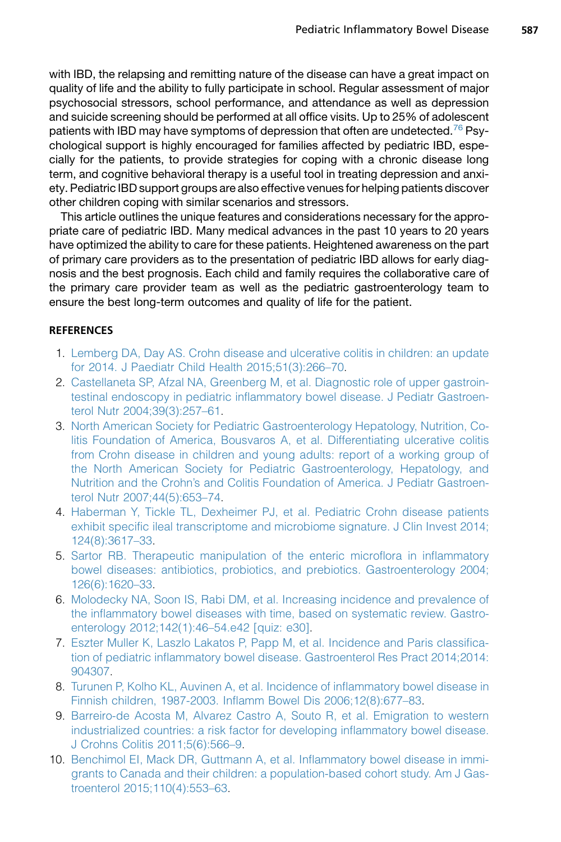<span id="page-10-0"></span>with IBD, the relapsing and remitting nature of the disease can have a great impact on quality of life and the ability to fully participate in school. Regular assessment of major psychosocial stressors, school performance, and attendance as well as depression and suicide screening should be performed at all office visits. Up to 25% of adolescent patients with IBD may have symptoms of depression that often are undetected.<sup>[76](#page-14-0)</sup> Psychological support is highly encouraged for families affected by pediatric IBD, especially for the patients, to provide strategies for coping with a chronic disease long term, and cognitive behavioral therapy is a useful tool in treating depression and anxiety. Pediatric IBD support groups are also effective venues for helping patients discover other children coping with similar scenarios and stressors.

This article outlines the unique features and considerations necessary for the appropriate care of pediatric IBD. Many medical advances in the past 10 years to 20 years have optimized the ability to care for these patients. Heightened awareness on the part of primary care providers as to the presentation of pediatric IBD allows for early diagnosis and the best prognosis. Each child and family requires the collaborative care of the primary care provider team as well as the pediatric gastroenterology team to ensure the best long-term outcomes and quality of life for the patient.

## **REFERENCES**

- 1. [Lemberg DA, Day AS. Crohn disease and ulcerative colitis in children: an update](http://refhub.elsevier.com/S0031-3955(17)30005-6/sref1) [for 2014. J Paediatr Child Health 2015;51\(3\):266–70.](http://refhub.elsevier.com/S0031-3955(17)30005-6/sref1)
- 2. [Castellaneta SP, Afzal NA, Greenberg M, et al. Diagnostic role of upper gastroin](http://refhub.elsevier.com/S0031-3955(17)30005-6/sref2)[testinal endoscopy in pediatric inflammatory bowel disease. J Pediatr Gastroen](http://refhub.elsevier.com/S0031-3955(17)30005-6/sref2)[terol Nutr 2004;39\(3\):257–61.](http://refhub.elsevier.com/S0031-3955(17)30005-6/sref2)
- 3. [North American Society for Pediatric Gastroenterology Hepatology, Nutrition, Co](http://refhub.elsevier.com/S0031-3955(17)30005-6/sref3)[litis Foundation of America, Bousvaros A, et al. Differentiating ulcerative colitis](http://refhub.elsevier.com/S0031-3955(17)30005-6/sref3) [from Crohn disease in children and young adults: report of a working group of](http://refhub.elsevier.com/S0031-3955(17)30005-6/sref3) [the North American Society for Pediatric Gastroenterology, Hepatology, and](http://refhub.elsevier.com/S0031-3955(17)30005-6/sref3) [Nutrition and the Crohn's and Colitis Foundation of America. J Pediatr Gastroen](http://refhub.elsevier.com/S0031-3955(17)30005-6/sref3)[terol Nutr 2007;44\(5\):653–74.](http://refhub.elsevier.com/S0031-3955(17)30005-6/sref3)
- 4. [Haberman Y, Tickle TL, Dexheimer PJ, et al. Pediatric Crohn disease patients](http://refhub.elsevier.com/S0031-3955(17)30005-6/sref4) [exhibit specific ileal transcriptome and microbiome signature. J Clin Invest 2014;](http://refhub.elsevier.com/S0031-3955(17)30005-6/sref4) [124\(8\):3617–33](http://refhub.elsevier.com/S0031-3955(17)30005-6/sref4).
- 5. [Sartor RB. Therapeutic manipulation of the enteric microflora in inflammatory](http://refhub.elsevier.com/S0031-3955(17)30005-6/sref5) [bowel diseases: antibiotics, probiotics, and prebiotics. Gastroenterology 2004;](http://refhub.elsevier.com/S0031-3955(17)30005-6/sref5) [126\(6\):1620–33](http://refhub.elsevier.com/S0031-3955(17)30005-6/sref5).
- 6. [Molodecky NA, Soon IS, Rabi DM, et al. Increasing incidence and prevalence of](http://refhub.elsevier.com/S0031-3955(17)30005-6/sref6) [the inflammatory bowel diseases with time, based on systematic review. Gastro](http://refhub.elsevier.com/S0031-3955(17)30005-6/sref6)[enterology 2012;142\(1\):46–54.e42 \[quiz: e30\]](http://refhub.elsevier.com/S0031-3955(17)30005-6/sref6).
- 7. [Eszter Muller K, Laszlo Lakatos P, Papp M, et al. Incidence and Paris classifica](http://refhub.elsevier.com/S0031-3955(17)30005-6/sref7)[tion of pediatric inflammatory bowel disease. Gastroenterol Res Pract 2014;2014:](http://refhub.elsevier.com/S0031-3955(17)30005-6/sref7) [904307](http://refhub.elsevier.com/S0031-3955(17)30005-6/sref7).
- 8. [Turunen P, Kolho KL, Auvinen A, et al. Incidence of inflammatory bowel disease in](http://refhub.elsevier.com/S0031-3955(17)30005-6/sref8) [Finnish children, 1987-2003. Inflamm Bowel Dis 2006;12\(8\):677–83.](http://refhub.elsevier.com/S0031-3955(17)30005-6/sref8)
- 9. [Barreiro-de Acosta M, Alvarez Castro A, Souto R, et al. Emigration to western](http://refhub.elsevier.com/S0031-3955(17)30005-6/sref9) [industrialized countries: a risk factor for developing inflammatory bowel disease.](http://refhub.elsevier.com/S0031-3955(17)30005-6/sref9) [J Crohns Colitis 2011;5\(6\):566–9](http://refhub.elsevier.com/S0031-3955(17)30005-6/sref9).
- 10. [Benchimol EI, Mack DR, Guttmann A, et al. Inflammatory bowel disease in immi](http://refhub.elsevier.com/S0031-3955(17)30005-6/sref10)[grants to Canada and their children: a population-based cohort study. Am J Gas](http://refhub.elsevier.com/S0031-3955(17)30005-6/sref10)[troenterol 2015;110\(4\):553–63](http://refhub.elsevier.com/S0031-3955(17)30005-6/sref10).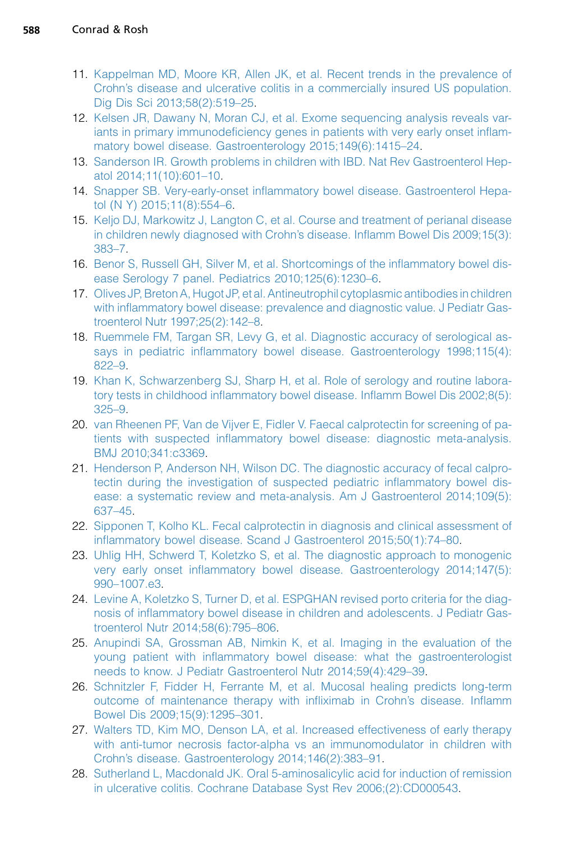- <span id="page-11-0"></span>11. [Kappelman MD, Moore KR, Allen JK, et al. Recent trends in the prevalence of](http://refhub.elsevier.com/S0031-3955(17)30005-6/sref11) [Crohn's disease and ulcerative colitis in a commercially insured US population.](http://refhub.elsevier.com/S0031-3955(17)30005-6/sref11) [Dig Dis Sci 2013;58\(2\):519–25](http://refhub.elsevier.com/S0031-3955(17)30005-6/sref11).
- 12. [Kelsen JR, Dawany N, Moran CJ, et al. Exome sequencing analysis reveals var](http://refhub.elsevier.com/S0031-3955(17)30005-6/sref12)[iants in primary immunodeficiency genes in patients with very early onset inflam](http://refhub.elsevier.com/S0031-3955(17)30005-6/sref12)[matory bowel disease. Gastroenterology 2015;149\(6\):1415–24](http://refhub.elsevier.com/S0031-3955(17)30005-6/sref12).
- 13. [Sanderson IR. Growth problems in children with IBD. Nat Rev Gastroenterol Hep](http://refhub.elsevier.com/S0031-3955(17)30005-6/sref13)[atol 2014;11\(10\):601–10.](http://refhub.elsevier.com/S0031-3955(17)30005-6/sref13)
- 14. [Snapper SB. Very-early-onset inflammatory bowel disease. Gastroenterol Hepa](http://refhub.elsevier.com/S0031-3955(17)30005-6/sref14)[tol \(N Y\) 2015;11\(8\):554–6.](http://refhub.elsevier.com/S0031-3955(17)30005-6/sref14)
- 15. [Keljo DJ, Markowitz J, Langton C, et al. Course and treatment of perianal disease](http://refhub.elsevier.com/S0031-3955(17)30005-6/sref15) [in children newly diagnosed with Crohn's disease. Inflamm Bowel Dis 2009;15\(3\):](http://refhub.elsevier.com/S0031-3955(17)30005-6/sref15) [383–7.](http://refhub.elsevier.com/S0031-3955(17)30005-6/sref15)
- 16. [Benor S, Russell GH, Silver M, et al. Shortcomings of the inflammatory bowel dis](http://refhub.elsevier.com/S0031-3955(17)30005-6/sref16)[ease Serology 7 panel. Pediatrics 2010;125\(6\):1230–6](http://refhub.elsevier.com/S0031-3955(17)30005-6/sref16).
- 17. [Olives JP, Breton A, Hugot JP, et al. Antineutrophil cytoplasmic antibodies in children](http://refhub.elsevier.com/S0031-3955(17)30005-6/sref17) [with inflammatory bowel disease: prevalence and diagnostic value. J Pediatr Gas](http://refhub.elsevier.com/S0031-3955(17)30005-6/sref17)[troenterol Nutr 1997;25\(2\):142–8](http://refhub.elsevier.com/S0031-3955(17)30005-6/sref17).
- 18. [Ruemmele FM, Targan SR, Levy G, et al. Diagnostic accuracy of serological as](http://refhub.elsevier.com/S0031-3955(17)30005-6/sref18)[says in pediatric inflammatory bowel disease. Gastroenterology 1998;115\(4\):](http://refhub.elsevier.com/S0031-3955(17)30005-6/sref18) [822–9.](http://refhub.elsevier.com/S0031-3955(17)30005-6/sref18)
- 19. [Khan K, Schwarzenberg SJ, Sharp H, et al. Role of serology and routine labora](http://refhub.elsevier.com/S0031-3955(17)30005-6/sref19)[tory tests in childhood inflammatory bowel disease. Inflamm Bowel Dis 2002;8\(5\):](http://refhub.elsevier.com/S0031-3955(17)30005-6/sref19) [325–9.](http://refhub.elsevier.com/S0031-3955(17)30005-6/sref19)
- 20. [van Rheenen PF, Van de Vijver E, Fidler V. Faecal calprotectin for screening of pa](http://refhub.elsevier.com/S0031-3955(17)30005-6/sref20)[tients with suspected inflammatory bowel disease: diagnostic meta-analysis.](http://refhub.elsevier.com/S0031-3955(17)30005-6/sref20) [BMJ 2010;341:c3369.](http://refhub.elsevier.com/S0031-3955(17)30005-6/sref20)
- 21. [Henderson P, Anderson NH, Wilson DC. The diagnostic accuracy of fecal calpro](http://refhub.elsevier.com/S0031-3955(17)30005-6/sref21)[tectin during the investigation of suspected pediatric inflammatory bowel dis](http://refhub.elsevier.com/S0031-3955(17)30005-6/sref21)[ease: a systematic review and meta-analysis. Am J Gastroenterol 2014;109\(5\):](http://refhub.elsevier.com/S0031-3955(17)30005-6/sref21) [637–45.](http://refhub.elsevier.com/S0031-3955(17)30005-6/sref21)
- 22. [Sipponen T, Kolho KL. Fecal calprotectin in diagnosis and clinical assessment of](http://refhub.elsevier.com/S0031-3955(17)30005-6/sref22) [inflammatory bowel disease. Scand J Gastroenterol 2015;50\(1\):74–80](http://refhub.elsevier.com/S0031-3955(17)30005-6/sref22).
- 23. [Uhlig HH, Schwerd T, Koletzko S, et al. The diagnostic approach to monogenic](http://refhub.elsevier.com/S0031-3955(17)30005-6/sref23) [very early onset inflammatory bowel disease. Gastroenterology 2014;147\(5\):](http://refhub.elsevier.com/S0031-3955(17)30005-6/sref23) [990–1007.e3.](http://refhub.elsevier.com/S0031-3955(17)30005-6/sref23)
- 24. [Levine A, Koletzko S, Turner D, et al. ESPGHAN revised porto criteria for the diag](http://refhub.elsevier.com/S0031-3955(17)30005-6/sref24)[nosis of inflammatory bowel disease in children and adolescents. J Pediatr Gas](http://refhub.elsevier.com/S0031-3955(17)30005-6/sref24)[troenterol Nutr 2014;58\(6\):795–806.](http://refhub.elsevier.com/S0031-3955(17)30005-6/sref24)
- 25. [Anupindi SA, Grossman AB, Nimkin K, et al. Imaging in the evaluation of the](http://refhub.elsevier.com/S0031-3955(17)30005-6/sref25) [young patient with inflammatory bowel disease: what the gastroenterologist](http://refhub.elsevier.com/S0031-3955(17)30005-6/sref25) [needs to know. J Pediatr Gastroenterol Nutr 2014;59\(4\):429–39](http://refhub.elsevier.com/S0031-3955(17)30005-6/sref25).
- 26. [Schnitzler F, Fidder H, Ferrante M, et al. Mucosal healing predicts long-term](http://refhub.elsevier.com/S0031-3955(17)30005-6/sref26) [outcome of maintenance therapy with infliximab in Crohn's disease. Inflamm](http://refhub.elsevier.com/S0031-3955(17)30005-6/sref26) [Bowel Dis 2009;15\(9\):1295–301](http://refhub.elsevier.com/S0031-3955(17)30005-6/sref26).
- 27. [Walters TD, Kim MO, Denson LA, et al. Increased effectiveness of early therapy](http://refhub.elsevier.com/S0031-3955(17)30005-6/sref27) [with anti-tumor necrosis factor-alpha vs an immunomodulator in children with](http://refhub.elsevier.com/S0031-3955(17)30005-6/sref27) [Crohn's disease. Gastroenterology 2014;146\(2\):383–91.](http://refhub.elsevier.com/S0031-3955(17)30005-6/sref27)
- 28. [Sutherland L, Macdonald JK. Oral 5-aminosalicylic acid for induction of remission](http://refhub.elsevier.com/S0031-3955(17)30005-6/sref28) [in ulcerative colitis. Cochrane Database Syst Rev 2006;\(2\):CD000543.](http://refhub.elsevier.com/S0031-3955(17)30005-6/sref28)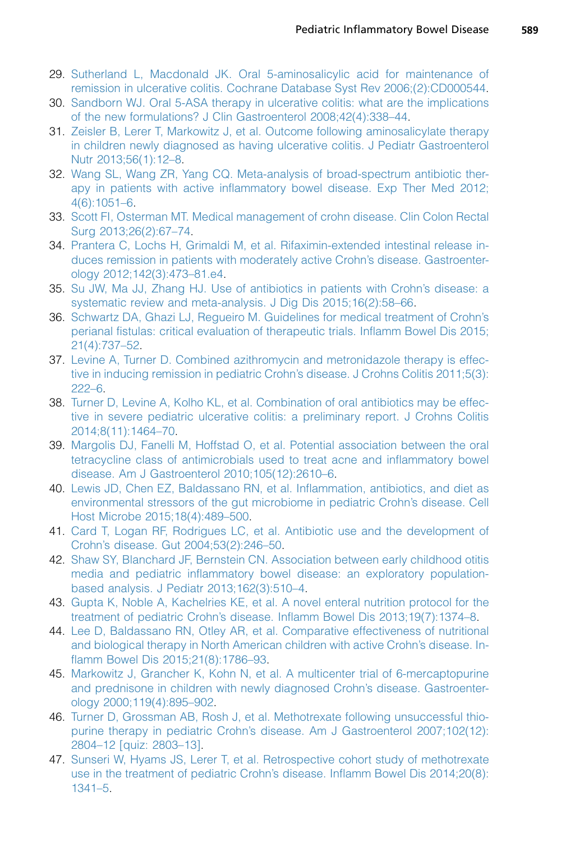- <span id="page-12-0"></span>29. [Sutherland L, Macdonald JK. Oral 5-aminosalicylic acid for maintenance of](http://refhub.elsevier.com/S0031-3955(17)30005-6/sref29) [remission in ulcerative colitis. Cochrane Database Syst Rev 2006;\(2\):CD000544](http://refhub.elsevier.com/S0031-3955(17)30005-6/sref29).
- 30. [Sandborn WJ. Oral 5-ASA therapy in ulcerative colitis: what are the implications](http://refhub.elsevier.com/S0031-3955(17)30005-6/sref30) [of the new formulations? J Clin Gastroenterol 2008;42\(4\):338–44.](http://refhub.elsevier.com/S0031-3955(17)30005-6/sref30)
- 31. [Zeisler B, Lerer T, Markowitz J, et al. Outcome following aminosalicylate therapy](http://refhub.elsevier.com/S0031-3955(17)30005-6/sref31) [in children newly diagnosed as having ulcerative colitis. J Pediatr Gastroenterol](http://refhub.elsevier.com/S0031-3955(17)30005-6/sref31) [Nutr 2013;56\(1\):12–8.](http://refhub.elsevier.com/S0031-3955(17)30005-6/sref31)
- 32. [Wang SL, Wang ZR, Yang CQ. Meta-analysis of broad-spectrum antibiotic ther](http://refhub.elsevier.com/S0031-3955(17)30005-6/sref32)[apy in patients with active inflammatory bowel disease. Exp Ther Med 2012;](http://refhub.elsevier.com/S0031-3955(17)30005-6/sref32) [4\(6\):1051–6](http://refhub.elsevier.com/S0031-3955(17)30005-6/sref32).
- 33. [Scott FI, Osterman MT. Medical management of crohn disease. Clin Colon Rectal](http://refhub.elsevier.com/S0031-3955(17)30005-6/sref33) [Surg 2013;26\(2\):67–74.](http://refhub.elsevier.com/S0031-3955(17)30005-6/sref33)
- 34. [Prantera C, Lochs H, Grimaldi M, et al. Rifaximin-extended intestinal release in](http://refhub.elsevier.com/S0031-3955(17)30005-6/sref34)[duces remission in patients with moderately active Crohn's disease. Gastroenter](http://refhub.elsevier.com/S0031-3955(17)30005-6/sref34)[ology 2012;142\(3\):473–81.e4.](http://refhub.elsevier.com/S0031-3955(17)30005-6/sref34)
- 35. [Su JW, Ma JJ, Zhang HJ. Use of antibiotics in patients with Crohn's disease: a](http://refhub.elsevier.com/S0031-3955(17)30005-6/sref35) [systematic review and meta-analysis. J Dig Dis 2015;16\(2\):58–66](http://refhub.elsevier.com/S0031-3955(17)30005-6/sref35).
- 36. [Schwartz DA, Ghazi LJ, Regueiro M. Guidelines for medical treatment of Crohn's](http://refhub.elsevier.com/S0031-3955(17)30005-6/sref36) [perianal fistulas: critical evaluation of therapeutic trials. Inflamm Bowel Dis 2015;](http://refhub.elsevier.com/S0031-3955(17)30005-6/sref36) [21\(4\):737–52](http://refhub.elsevier.com/S0031-3955(17)30005-6/sref36).
- 37. [Levine A, Turner D. Combined azithromycin and metronidazole therapy is effec](http://refhub.elsevier.com/S0031-3955(17)30005-6/sref37)[tive in inducing remission in pediatric Crohn's disease. J Crohns Colitis 2011;5\(3\):](http://refhub.elsevier.com/S0031-3955(17)30005-6/sref37) [222–6](http://refhub.elsevier.com/S0031-3955(17)30005-6/sref37).
- 38. [Turner D, Levine A, Kolho KL, et al. Combination of oral antibiotics may be effec](http://refhub.elsevier.com/S0031-3955(17)30005-6/sref38)[tive in severe pediatric ulcerative colitis: a preliminary report. J Crohns Colitis](http://refhub.elsevier.com/S0031-3955(17)30005-6/sref38) [2014;8\(11\):1464–70.](http://refhub.elsevier.com/S0031-3955(17)30005-6/sref38)
- 39. [Margolis DJ, Fanelli M, Hoffstad O, et al. Potential association between the oral](http://refhub.elsevier.com/S0031-3955(17)30005-6/sref39) [tetracycline class of antimicrobials used to treat acne and inflammatory bowel](http://refhub.elsevier.com/S0031-3955(17)30005-6/sref39) [disease. Am J Gastroenterol 2010;105\(12\):2610–6](http://refhub.elsevier.com/S0031-3955(17)30005-6/sref39).
- 40. [Lewis JD, Chen EZ, Baldassano RN, et al. Inflammation, antibiotics, and diet as](http://refhub.elsevier.com/S0031-3955(17)30005-6/sref40) [environmental stressors of the gut microbiome in pediatric Crohn's disease. Cell](http://refhub.elsevier.com/S0031-3955(17)30005-6/sref40) [Host Microbe 2015;18\(4\):489–500.](http://refhub.elsevier.com/S0031-3955(17)30005-6/sref40)
- 41. [Card T, Logan RF, Rodrigues LC, et al. Antibiotic use and the development of](http://refhub.elsevier.com/S0031-3955(17)30005-6/sref41) [Crohn's disease. Gut 2004;53\(2\):246–50.](http://refhub.elsevier.com/S0031-3955(17)30005-6/sref41)
- 42. [Shaw SY, Blanchard JF, Bernstein CN. Association between early childhood otitis](http://refhub.elsevier.com/S0031-3955(17)30005-6/sref42) [media and pediatric inflammatory bowel disease: an exploratory population](http://refhub.elsevier.com/S0031-3955(17)30005-6/sref42)[based analysis. J Pediatr 2013;162\(3\):510–4.](http://refhub.elsevier.com/S0031-3955(17)30005-6/sref42)
- 43. [Gupta K, Noble A, Kachelries KE, et al. A novel enteral nutrition protocol for the](http://refhub.elsevier.com/S0031-3955(17)30005-6/sref43) [treatment of pediatric Crohn's disease. Inflamm Bowel Dis 2013;19\(7\):1374–8.](http://refhub.elsevier.com/S0031-3955(17)30005-6/sref43)
- 44. [Lee D, Baldassano RN, Otley AR, et al. Comparative effectiveness of nutritional](http://refhub.elsevier.com/S0031-3955(17)30005-6/sref44) [and biological therapy in North American children with active Crohn's disease. In](http://refhub.elsevier.com/S0031-3955(17)30005-6/sref44)[flamm Bowel Dis 2015;21\(8\):1786–93](http://refhub.elsevier.com/S0031-3955(17)30005-6/sref44).
- 45. [Markowitz J, Grancher K, Kohn N, et al. A multicenter trial of 6-mercaptopurine](http://refhub.elsevier.com/S0031-3955(17)30005-6/sref45) [and prednisone in children with newly diagnosed Crohn's disease. Gastroenter](http://refhub.elsevier.com/S0031-3955(17)30005-6/sref45)[ology 2000;119\(4\):895–902](http://refhub.elsevier.com/S0031-3955(17)30005-6/sref45).
- 46. [Turner D, Grossman AB, Rosh J, et al. Methotrexate following unsuccessful thio](http://refhub.elsevier.com/S0031-3955(17)30005-6/sref46)[purine therapy in pediatric Crohn's disease. Am J Gastroenterol 2007;102\(12\):](http://refhub.elsevier.com/S0031-3955(17)30005-6/sref46) [2804–12 \[quiz: 2803–13\]](http://refhub.elsevier.com/S0031-3955(17)30005-6/sref46).
- 47. [Sunseri W, Hyams JS, Lerer T, et al. Retrospective cohort study of methotrexate](http://refhub.elsevier.com/S0031-3955(17)30005-6/sref47) [use in the treatment of pediatric Crohn's disease. Inflamm Bowel Dis 2014;20\(8\):](http://refhub.elsevier.com/S0031-3955(17)30005-6/sref47) [1341–5.](http://refhub.elsevier.com/S0031-3955(17)30005-6/sref47)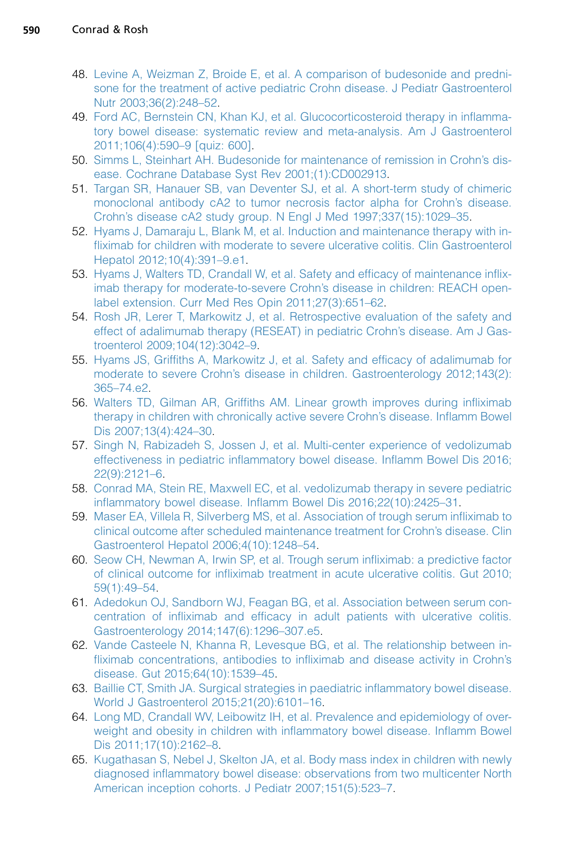- <span id="page-13-0"></span>48. [Levine A, Weizman Z, Broide E, et al. A comparison of budesonide and predni](http://refhub.elsevier.com/S0031-3955(17)30005-6/sref48)[sone for the treatment of active pediatric Crohn disease. J Pediatr Gastroenterol](http://refhub.elsevier.com/S0031-3955(17)30005-6/sref48) [Nutr 2003;36\(2\):248–52](http://refhub.elsevier.com/S0031-3955(17)30005-6/sref48).
- 49. [Ford AC, Bernstein CN, Khan KJ, et al. Glucocorticosteroid therapy in inflamma](http://refhub.elsevier.com/S0031-3955(17)30005-6/sref49)[tory bowel disease: systematic review and meta-analysis. Am J Gastroenterol](http://refhub.elsevier.com/S0031-3955(17)30005-6/sref49) [2011;106\(4\):590–9 \[quiz: 600\]](http://refhub.elsevier.com/S0031-3955(17)30005-6/sref49).
- 50. [Simms L, Steinhart AH. Budesonide for maintenance of remission in Crohn's dis](http://refhub.elsevier.com/S0031-3955(17)30005-6/sref50)[ease. Cochrane Database Syst Rev 2001;\(1\):CD002913.](http://refhub.elsevier.com/S0031-3955(17)30005-6/sref50)
- 51. [Targan SR, Hanauer SB, van Deventer SJ, et al. A short-term study of chimeric](http://refhub.elsevier.com/S0031-3955(17)30005-6/sref51) [monoclonal antibody cA2 to tumor necrosis factor alpha for Crohn's disease.](http://refhub.elsevier.com/S0031-3955(17)30005-6/sref51) [Crohn's disease cA2 study group. N Engl J Med 1997;337\(15\):1029–35](http://refhub.elsevier.com/S0031-3955(17)30005-6/sref51).
- 52. [Hyams J, Damaraju L, Blank M, et al. Induction and maintenance therapy with in](http://refhub.elsevier.com/S0031-3955(17)30005-6/sref52)[fliximab for children with moderate to severe ulcerative colitis. Clin Gastroenterol](http://refhub.elsevier.com/S0031-3955(17)30005-6/sref52) [Hepatol 2012;10\(4\):391–9.e1.](http://refhub.elsevier.com/S0031-3955(17)30005-6/sref52)
- 53. [Hyams J, Walters TD, Crandall W, et al. Safety and efficacy of maintenance inflix](http://refhub.elsevier.com/S0031-3955(17)30005-6/sref53)[imab therapy for moderate-to-severe Crohn's disease in children: REACH open](http://refhub.elsevier.com/S0031-3955(17)30005-6/sref53)[label extension. Curr Med Res Opin 2011;27\(3\):651–62](http://refhub.elsevier.com/S0031-3955(17)30005-6/sref53).
- 54. [Rosh JR, Lerer T, Markowitz J, et al. Retrospective evaluation of the safety and](http://refhub.elsevier.com/S0031-3955(17)30005-6/sref54) [effect of adalimumab therapy \(RESEAT\) in pediatric Crohn's disease. Am J Gas](http://refhub.elsevier.com/S0031-3955(17)30005-6/sref54)[troenterol 2009;104\(12\):3042–9.](http://refhub.elsevier.com/S0031-3955(17)30005-6/sref54)
- 55. [Hyams JS, Griffiths A, Markowitz J, et al. Safety and efficacy of adalimumab for](http://refhub.elsevier.com/S0031-3955(17)30005-6/sref55) [moderate to severe Crohn's disease in children. Gastroenterology 2012;143\(2\):](http://refhub.elsevier.com/S0031-3955(17)30005-6/sref55) [365–74.e2](http://refhub.elsevier.com/S0031-3955(17)30005-6/sref55).
- 56. [Walters TD, Gilman AR, Griffiths AM. Linear growth improves during infliximab](http://refhub.elsevier.com/S0031-3955(17)30005-6/sref56) [therapy in children with chronically active severe Crohn's disease. Inflamm Bowel](http://refhub.elsevier.com/S0031-3955(17)30005-6/sref56) [Dis 2007;13\(4\):424–30](http://refhub.elsevier.com/S0031-3955(17)30005-6/sref56).
- 57. [Singh N, Rabizadeh S, Jossen J, et al. Multi-center experience of vedolizumab](http://refhub.elsevier.com/S0031-3955(17)30005-6/sref57) [effectiveness in pediatric inflammatory bowel disease. Inflamm Bowel Dis 2016;](http://refhub.elsevier.com/S0031-3955(17)30005-6/sref57) [22\(9\):2121–6.](http://refhub.elsevier.com/S0031-3955(17)30005-6/sref57)
- 58. [Conrad MA, Stein RE, Maxwell EC, et al. vedolizumab therapy in severe pediatric](http://refhub.elsevier.com/S0031-3955(17)30005-6/sref58) [inflammatory bowel disease. Inflamm Bowel Dis 2016;22\(10\):2425–31.](http://refhub.elsevier.com/S0031-3955(17)30005-6/sref58)
- 59. [Maser EA, Villela R, Silverberg MS, et al. Association of trough serum infliximab to](http://refhub.elsevier.com/S0031-3955(17)30005-6/sref59) [clinical outcome after scheduled maintenance treatment for Crohn's disease. Clin](http://refhub.elsevier.com/S0031-3955(17)30005-6/sref59) [Gastroenterol Hepatol 2006;4\(10\):1248–54](http://refhub.elsevier.com/S0031-3955(17)30005-6/sref59).
- 60. [Seow CH, Newman A, Irwin SP, et al. Trough serum infliximab: a predictive factor](http://refhub.elsevier.com/S0031-3955(17)30005-6/sref60) [of clinical outcome for infliximab treatment in acute ulcerative colitis. Gut 2010;](http://refhub.elsevier.com/S0031-3955(17)30005-6/sref60) [59\(1\):49–54.](http://refhub.elsevier.com/S0031-3955(17)30005-6/sref60)
- 61. [Adedokun OJ, Sandborn WJ, Feagan BG, et al. Association between serum con](http://refhub.elsevier.com/S0031-3955(17)30005-6/sref61)[centration of infliximab and efficacy in adult patients with ulcerative colitis.](http://refhub.elsevier.com/S0031-3955(17)30005-6/sref61) [Gastroenterology 2014;147\(6\):1296–307.e5](http://refhub.elsevier.com/S0031-3955(17)30005-6/sref61).
- 62. [Vande Casteele N, Khanna R, Levesque BG, et al. The relationship between in](http://refhub.elsevier.com/S0031-3955(17)30005-6/sref62)[fliximab concentrations, antibodies to infliximab and disease activity in Crohn's](http://refhub.elsevier.com/S0031-3955(17)30005-6/sref62) [disease. Gut 2015;64\(10\):1539–45](http://refhub.elsevier.com/S0031-3955(17)30005-6/sref62).
- 63. [Baillie CT, Smith JA. Surgical strategies in paediatric inflammatory bowel disease.](http://refhub.elsevier.com/S0031-3955(17)30005-6/sref63) [World J Gastroenterol 2015;21\(20\):6101–16.](http://refhub.elsevier.com/S0031-3955(17)30005-6/sref63)
- 64. [Long MD, Crandall WV, Leibowitz IH, et al. Prevalence and epidemiology of over](http://refhub.elsevier.com/S0031-3955(17)30005-6/sref64)[weight and obesity in children with inflammatory bowel disease. Inflamm Bowel](http://refhub.elsevier.com/S0031-3955(17)30005-6/sref64) [Dis 2011;17\(10\):2162–8](http://refhub.elsevier.com/S0031-3955(17)30005-6/sref64).
- 65. [Kugathasan S, Nebel J, Skelton JA, et al. Body mass index in children with newly](http://refhub.elsevier.com/S0031-3955(17)30005-6/sref65) [diagnosed inflammatory bowel disease: observations from two multicenter North](http://refhub.elsevier.com/S0031-3955(17)30005-6/sref65) [American inception cohorts. J Pediatr 2007;151\(5\):523–7](http://refhub.elsevier.com/S0031-3955(17)30005-6/sref65).